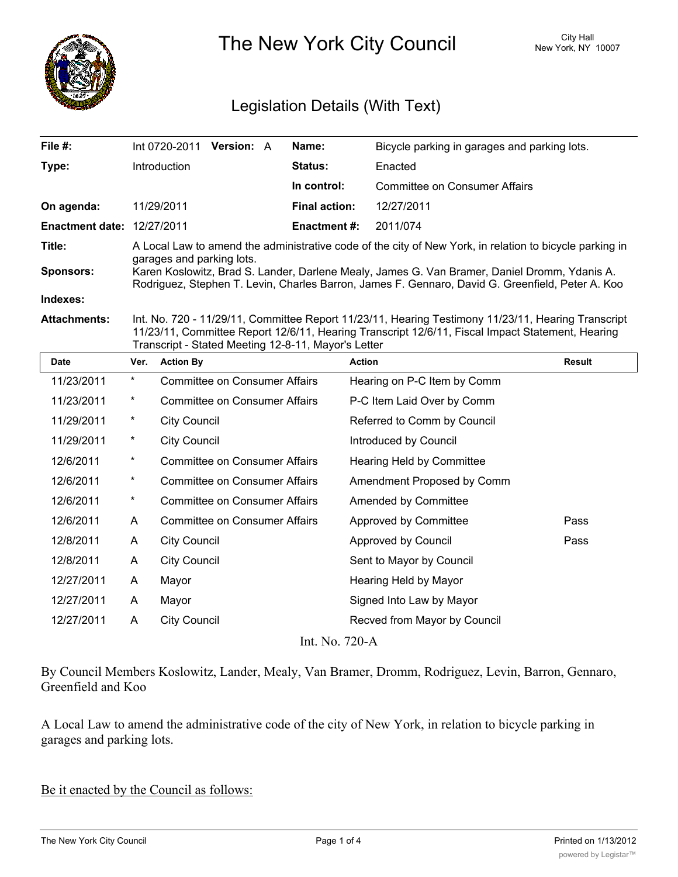

The New York City Council New York, NY 10007

# Legislation Details (With Text)

| File $#$ :                        |          | Int 0720-2011       | Version: A                           | Name:                                               | Bicycle parking in garages and parking lots.                                                                                                                                                           |               |
|-----------------------------------|----------|---------------------|--------------------------------------|-----------------------------------------------------|--------------------------------------------------------------------------------------------------------------------------------------------------------------------------------------------------------|---------------|
| Type:                             |          | Introduction        |                                      | Status:                                             | Enacted                                                                                                                                                                                                |               |
|                                   |          |                     |                                      | In control:                                         | Committee on Consumer Affairs                                                                                                                                                                          |               |
| On agenda:                        |          | 11/29/2011          |                                      | <b>Final action:</b>                                | 12/27/2011                                                                                                                                                                                             |               |
| <b>Enactment date: 12/27/2011</b> |          |                     |                                      | <b>Enactment #:</b>                                 | 2011/074                                                                                                                                                                                               |               |
| Title:                            |          |                     |                                      |                                                     | A Local Law to amend the administrative code of the city of New York, in relation to bicycle parking in                                                                                                |               |
| <b>Sponsors:</b>                  |          |                     | garages and parking lots.            |                                                     | Karen Koslowitz, Brad S. Lander, Darlene Mealy, James G. Van Bramer, Daniel Dromm, Ydanis A.<br>Rodriguez, Stephen T. Levin, Charles Barron, James F. Gennaro, David G. Greenfield, Peter A. Koo       |               |
| Indexes:                          |          |                     |                                      |                                                     |                                                                                                                                                                                                        |               |
| <b>Attachments:</b>               |          |                     |                                      | Transcript - Stated Meeting 12-8-11, Mayor's Letter | Int. No. 720 - 11/29/11, Committee Report 11/23/11, Hearing Testimony 11/23/11, Hearing Transcript<br>11/23/11, Committee Report 12/6/11, Hearing Transcript 12/6/11, Fiscal Impact Statement, Hearing |               |
| <b>Date</b>                       | Ver.     | <b>Action By</b>    |                                      |                                                     | <b>Action</b>                                                                                                                                                                                          | <b>Result</b> |
| 11/23/2011                        | $\star$  |                     | Committee on Consumer Affairs        |                                                     | Hearing on P-C Item by Comm                                                                                                                                                                            |               |
| 11/23/2011                        | $\star$  |                     | <b>Committee on Consumer Affairs</b> |                                                     | P-C Item Laid Over by Comm                                                                                                                                                                             |               |
| 11/29/2011                        | $^\star$ | <b>City Council</b> |                                      |                                                     | Referred to Comm by Council                                                                                                                                                                            |               |
| 11/29/2011                        | *        | <b>City Council</b> |                                      |                                                     | Introduced by Council                                                                                                                                                                                  |               |
| 12/6/2011                         | $\star$  |                     | <b>Committee on Consumer Affairs</b> |                                                     | Hearing Held by Committee                                                                                                                                                                              |               |
|                                   |          |                     |                                      |                                                     |                                                                                                                                                                                                        |               |

| 12/6/2011  | $\star$ | <b>Committee on Consumer Affairs</b> | Hearing Held by Committee    |      |
|------------|---------|--------------------------------------|------------------------------|------|
| 12/6/2011  | $\star$ | <b>Committee on Consumer Affairs</b> | Amendment Proposed by Comm   |      |
| 12/6/2011  | $\ast$  | Committee on Consumer Affairs        | Amended by Committee         |      |
| 12/6/2011  | A       | <b>Committee on Consumer Affairs</b> | Approved by Committee        | Pass |
| 12/8/2011  | A       | City Council                         | Approved by Council          | Pass |
| 12/8/2011  | A       | <b>City Council</b>                  | Sent to Mayor by Council     |      |
| 12/27/2011 | A       | Mayor                                | Hearing Held by Mayor        |      |
| 12/27/2011 | A       | Mayor                                | Signed Into Law by Mayor     |      |
| 12/27/2011 | A       | <b>City Council</b>                  | Recved from Mayor by Council |      |
|            |         |                                      | Int. No. 720-A               |      |

By Council Members Koslowitz, Lander, Mealy, Van Bramer, Dromm, Rodriguez, Levin, Barron, Gennaro, Greenfield and Koo

A Local Law to amend the administrative code of the city of New York, in relation to bicycle parking in garages and parking lots.

Be it enacted by the Council as follows: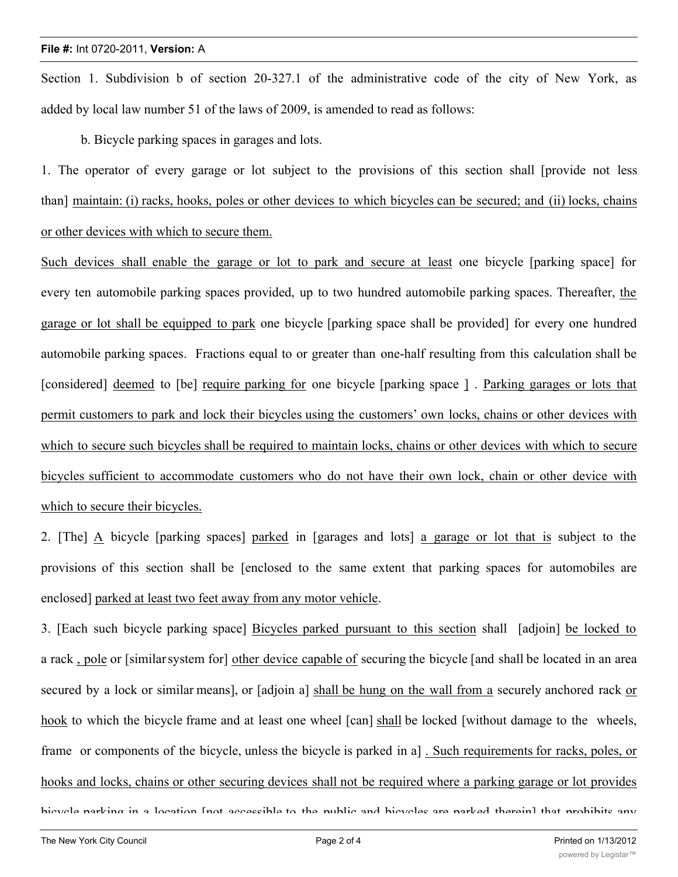Section 1. Subdivision b of section 20-327.1 of the administrative code of the city of New York, as added by local law number 51 of the laws of 2009, is amended to read as follows:

b. Bicycle parking spaces in garages and lots.

1. The operator of every garage or lot subject to the provisions of this section shall [provide not less than] maintain: (i) racks, hooks, poles or other devices to which bicycles can be secured; and (ii) locks, chains or other devices with which to secure them.

Such devices shall enable the garage or lot to park and secure at least one bicycle [parking space] for every ten automobile parking spaces provided, up to two hundred automobile parking spaces. Thereafter, the garage or lot shall be equipped to park one bicycle [parking space shall be provided] for every one hundred automobile parking spaces. Fractions equal to or greater than one-half resulting from this calculation shall be [considered] deemed to [be] require parking for one bicycle [parking space ] . Parking garages or lots that permit customers to park and lock their bicycles using the customers' own locks, chains or other devices with which to secure such bicycles shall be required to maintain locks, chains or other devices with which to secure bicycles sufficient to accommodate customers who do not have their own lock, chain or other device with which to secure their bicycles.

2. [The] A bicycle [parking spaces] parked in [garages and lots] a garage or lot that is subject to the provisions of this section shall be [enclosed to the same extent that parking spaces for automobiles are enclosed] parked at least two feet away from any motor vehicle.

3. [Each such bicycle parking space] Bicycles parked pursuant to this section shall [adjoin] be locked to a rack , pole or [similarsystem for] other device capable of securing the bicycle [and shall be located in an area secured by a lock or similar means], or [adjoin a] shall be hung on the wall from a securely anchored rack or hook to which the bicycle frame and at least one wheel [can] shall be locked [without damage to the wheels, frame or components of the bicycle, unless the bicycle is parked in a] . Such requirements for racks, poles, or hooks and locks, chains or other securing devices shall not be required where a parking garage or lot provides

bicycle parking in a location [not accessible to the public and bicycles are parked therein] that prohibits any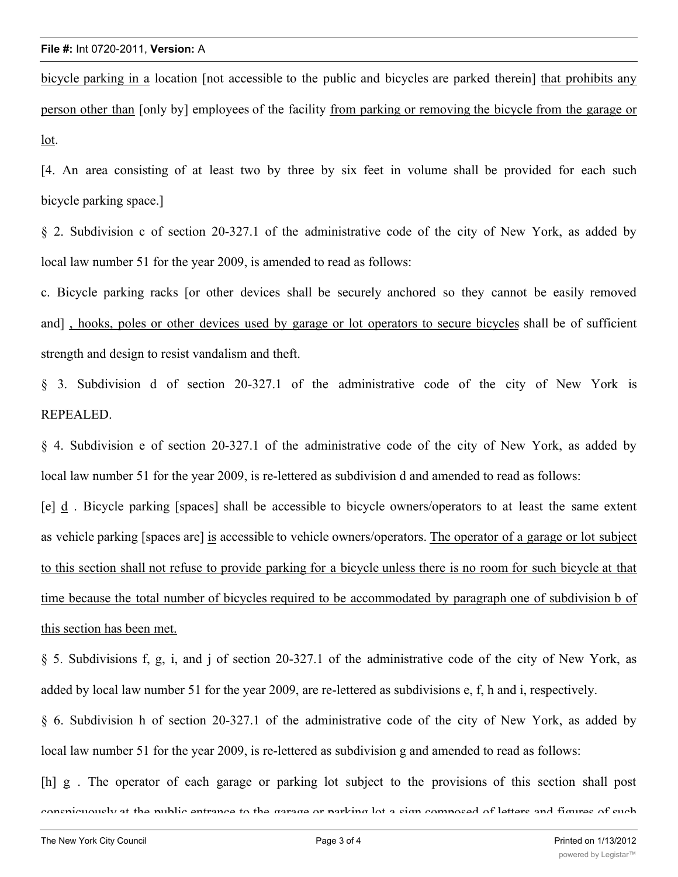bicycle parking in a location [not accessible to the public and bicycles are parked therein] that prohibits any person other than [only by] employees of the facility from parking or removing the bicycle from the garage or lot.

[4. An area consisting of at least two by three by six feet in volume shall be provided for each such bicycle parking space.]

§ 2. Subdivision c of section 20-327.1 of the administrative code of the city of New York, as added by local law number 51 for the year 2009, is amended to read as follows:

c. Bicycle parking racks [or other devices shall be securely anchored so they cannot be easily removed and] , hooks, poles or other devices used by garage or lot operators to secure bicycles shall be of sufficient strength and design to resist vandalism and theft.

§ 3. Subdivision d of section 20-327.1 of the administrative code of the city of New York is REPEALED.

§ 4. Subdivision e of section 20-327.1 of the administrative code of the city of New York, as added by local law number 51 for the year 2009, is re-lettered as subdivision d and amended to read as follows:

[e] d . Bicycle parking [spaces] shall be accessible to bicycle owners/operators to at least the same extent as vehicle parking [spaces are] is accessible to vehicle owners/operators. The operator of a garage or lot subject to this section shall not refuse to provide parking for a bicycle unless there is no room for such bicycle at that time because the total number of bicycles required to be accommodated by paragraph one of subdivision b of this section has been met.

§ 5. Subdivisions f, g, i, and j of section 20-327.1 of the administrative code of the city of New York, as added by local law number 51 for the year 2009, are re-lettered as subdivisions e, f, h and i, respectively.

§ 6. Subdivision h of section 20-327.1 of the administrative code of the city of New York, as added by local law number 51 for the year 2009, is re-lettered as subdivision g and amended to read as follows:

[h] g . The operator of each garage or parking lot subject to the provisions of this section shall post conspicuously at the public entrance to the garage or parking lot a sign composed of letters and figures of such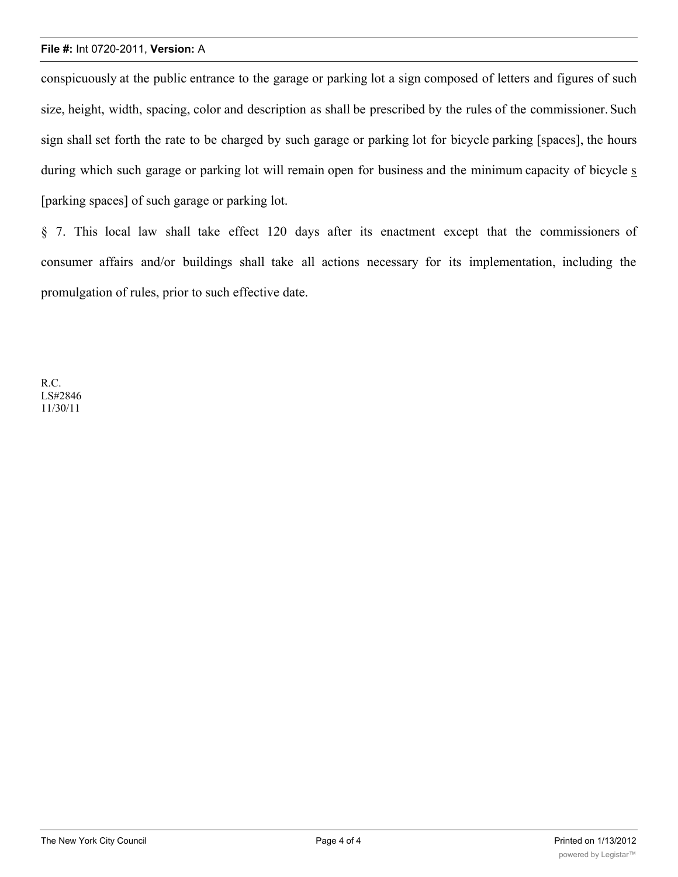#### **File #:** Int 0720-2011, **Version:** A

conspicuously at the public entrance to the garage or parking lot a sign composed of letters and figures of such size, height, width, spacing, color and description as shall be prescribed by the rules of the commissioner. Such sign shall set forth the rate to be charged by such garage or parking lot for bicycle parking [spaces], the hours during which such garage or parking lot will remain open for business and the minimum capacity of bicycle s [parking spaces] of such garage or parking lot.

§ 7. This local law shall take effect 120 days after its enactment except that the commissioners of consumer affairs and/or buildings shall take all actions necessary for its implementation, including the promulgation of rules, prior to such effective date.

R.C. LS#2846 11/30/11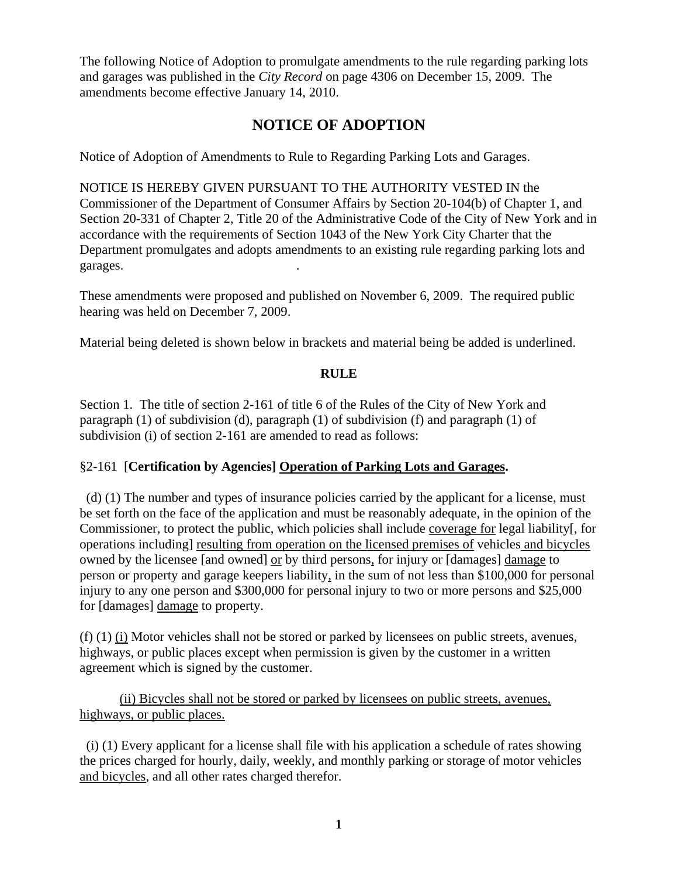The following Notice of Adoption to promulgate amendments to the rule regarding parking lots and garages was published in the *City Record* on page 4306 on December 15, 2009. The amendments become effective January 14, 2010.

# **NOTICE OF ADOPTION**

Notice of Adoption of Amendments to Rule to Regarding Parking Lots and Garages.

NOTICE IS HEREBY GIVEN PURSUANT TO THE AUTHORITY VESTED IN the Commissioner of the Department of Consumer Affairs by Section 20-104(b) of Chapter 1, and Section 20-331 of Chapter 2, Title 20 of the Administrative Code of the City of New York and in accordance with the requirements of Section 1043 of the New York City Charter that the Department promulgates and adopts amendments to an existing rule regarding parking lots and garages. .

These amendments were proposed and published on November 6, 2009. The required public hearing was held on December 7, 2009.

Material being deleted is shown below in brackets and material being be added is underlined.

# **RULE**

Section 1. The title of section 2-161 of title 6 of the Rules of the City of New York and paragraph (1) of subdivision (d), paragraph (1) of subdivision (f) and paragraph (1) of subdivision (i) of section 2-161 are amended to read as follows:

# §2-161 [**Certification by Agencies] Operation of Parking Lots and Garages.**

 (d) (1) The number and types of insurance policies carried by the applicant for a license, must be set forth on the face of the application and must be reasonably adequate, in the opinion of the Commissioner, to protect the public, which policies shall include coverage for legal liability[, for operations including] resulting from operation on the licensed premises of vehicles and bicycles owned by the licensee [and owned] or by third persons, for injury or [damages] damage to person or property and garage keepers liability, in the sum of not less than \$100,000 for personal injury to any one person and \$300,000 for personal injury to two or more persons and \$25,000 for [damages] damage to property.

(f) (1) (i) Motor vehicles shall not be stored or parked by licensees on public streets, avenues, highways, or public places except when permission is given by the customer in a written agreement which is signed by the customer.

(ii) Bicycles shall not be stored or parked by licensees on public streets, avenues, highways, or public places.

 (i) (1) Every applicant for a license shall file with his application a schedule of rates showing the prices charged for hourly, daily, weekly, and monthly parking or storage of motor vehicles and bicycles, and all other rates charged therefor.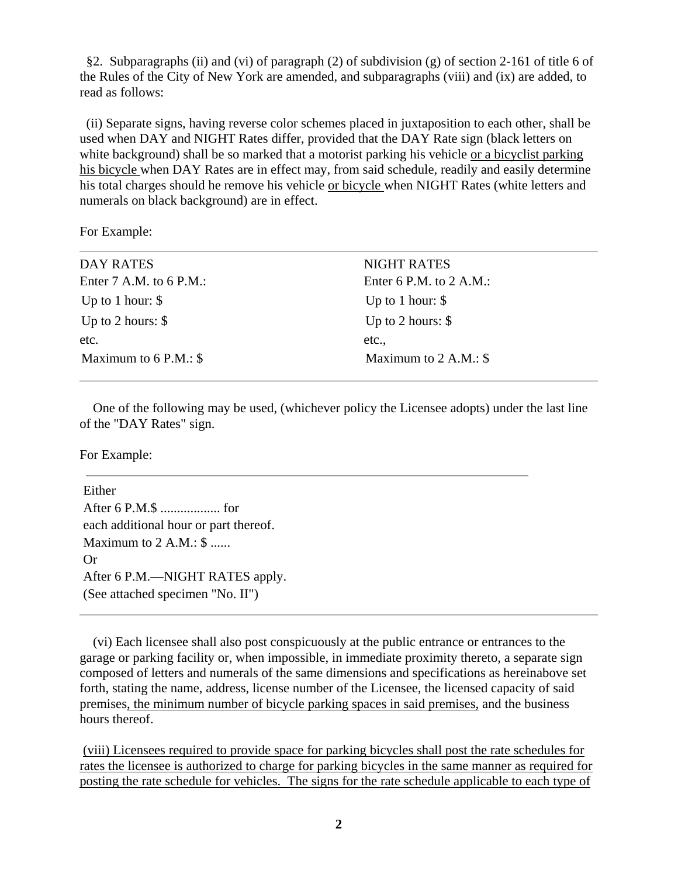§2. Subparagraphs (ii) and (vi) of paragraph (2) of subdivision (g) of section 2-161 of title 6 of the Rules of the City of New York are amended, and subparagraphs (viii) and (ix) are added, to read as follows:

 (ii) Separate signs, having reverse color schemes placed in juxtaposition to each other, shall be used when DAY and NIGHT Rates differ, provided that the DAY Rate sign (black letters on white background) shall be so marked that a motorist parking his vehicle or a bicyclist parking his bicycle when DAY Rates are in effect may, from said schedule, readily and easily determine his total charges should he remove his vehicle or bicycle when NIGHT Rates (white letters and numerals on black background) are in effect.

For Example:

| DAY RATES                 | <b>NIGHT RATES</b>        |
|---------------------------|---------------------------|
| Enter $7$ A.M. to 6 P.M.: | Enter 6 P.M. to $2$ A.M.: |
| Up to 1 hour: $\$         | Up to 1 hour: $\$         |
| Up to 2 hours: $\$        | Up to 2 hours: $\$        |
| etc.                      | etc.                      |
| Maximum to $6$ P.M.: $\$  | Maximum to $2$ A.M.: \$   |

 One of the following may be used, (whichever policy the Licensee adopts) under the last line of the "DAY Rates" sign.

For Example:

Either After 6 P.M.\$ .................. for each additional hour or part thereof. Maximum to 2 A.M.: \$ ...... Or After 6 P.M.—NIGHT RATES apply. (See attached specimen "No. II")

 (vi) Each licensee shall also post conspicuously at the public entrance or entrances to the garage or parking facility or, when impossible, in immediate proximity thereto, a separate sign composed of letters and numerals of the same dimensions and specifications as hereinabove set forth, stating the name, address, license number of the Licensee, the licensed capacity of said premises, the minimum number of bicycle parking spaces in said premises, and the business hours thereof.

(viii) Licensees required to provide space for parking bicycles shall post the rate schedules for rates the licensee is authorized to charge for parking bicycles in the same manner as required for posting the rate schedule for vehicles. The signs for the rate schedule applicable to each type of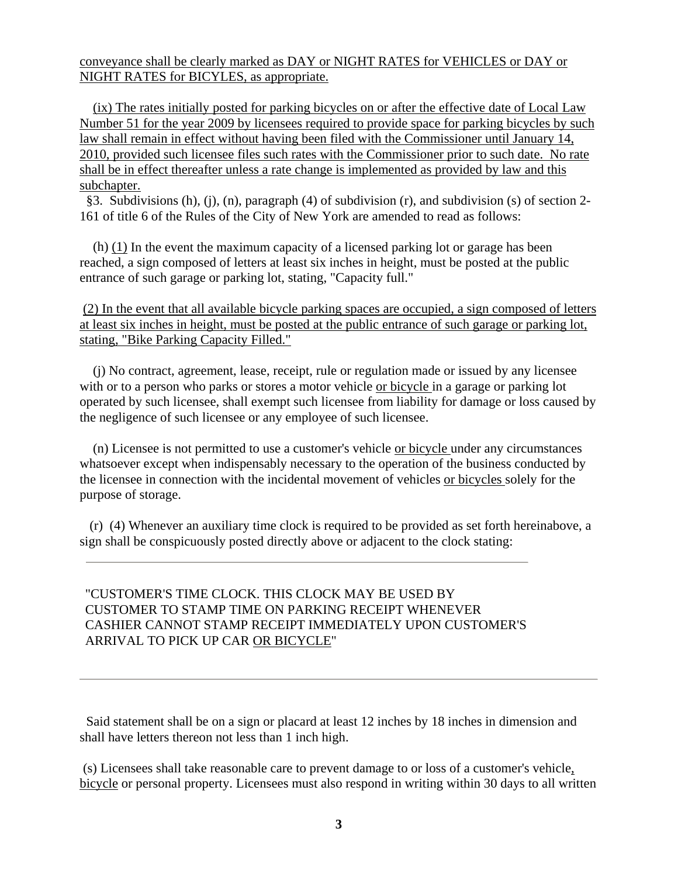conveyance shall be clearly marked as DAY or NIGHT RATES for VEHICLES or DAY or NIGHT RATES for BICYLES, as appropriate.

 (ix) The rates initially posted for parking bicycles on or after the effective date of Local Law Number 51 for the year 2009 by licensees required to provide space for parking bicycles by such law shall remain in effect without having been filed with the Commissioner until January 14, 2010, provided such licensee files such rates with the Commissioner prior to such date. No rate shall be in effect thereafter unless a rate change is implemented as provided by law and this subchapter.

 §3. Subdivisions (h), (j), (n), paragraph (4) of subdivision (r), and subdivision (s) of section 2- 161 of title 6 of the Rules of the City of New York are amended to read as follows:

 (h) (1) In the event the maximum capacity of a licensed parking lot or garage has been reached, a sign composed of letters at least six inches in height, must be posted at the public entrance of such garage or parking lot, stating, "Capacity full."

(2) In the event that all available bicycle parking spaces are occupied, a sign composed of letters at least six inches in height, must be posted at the public entrance of such garage or parking lot, stating, "Bike Parking Capacity Filled."

 (j) No contract, agreement, lease, receipt, rule or regulation made or issued by any licensee with or to a person who parks or stores a motor vehicle or bicycle in a garage or parking lot operated by such licensee, shall exempt such licensee from liability for damage or loss caused by the negligence of such licensee or any employee of such licensee.

 (n) Licensee is not permitted to use a customer's vehicle or bicycle under any circumstances whatsoever except when indispensably necessary to the operation of the business conducted by the licensee in connection with the incidental movement of vehicles or bicycles solely for the purpose of storage.

 (r) (4) Whenever an auxiliary time clock is required to be provided as set forth hereinabove, a sign shall be conspicuously posted directly above or adjacent to the clock stating:

# "CUSTOMER'S TIME CLOCK. THIS CLOCK MAY BE USED BY CUSTOMER TO STAMP TIME ON PARKING RECEIPT WHENEVER CASHIER CANNOT STAMP RECEIPT IMMEDIATELY UPON CUSTOMER'S ARRIVAL TO PICK UP CAR OR BICYCLE"

 Said statement shall be on a sign or placard at least 12 inches by 18 inches in dimension and shall have letters thereon not less than 1 inch high.

 (s) Licensees shall take reasonable care to prevent damage to or loss of a customer's vehicle, bicycle or personal property. Licensees must also respond in writing within 30 days to all written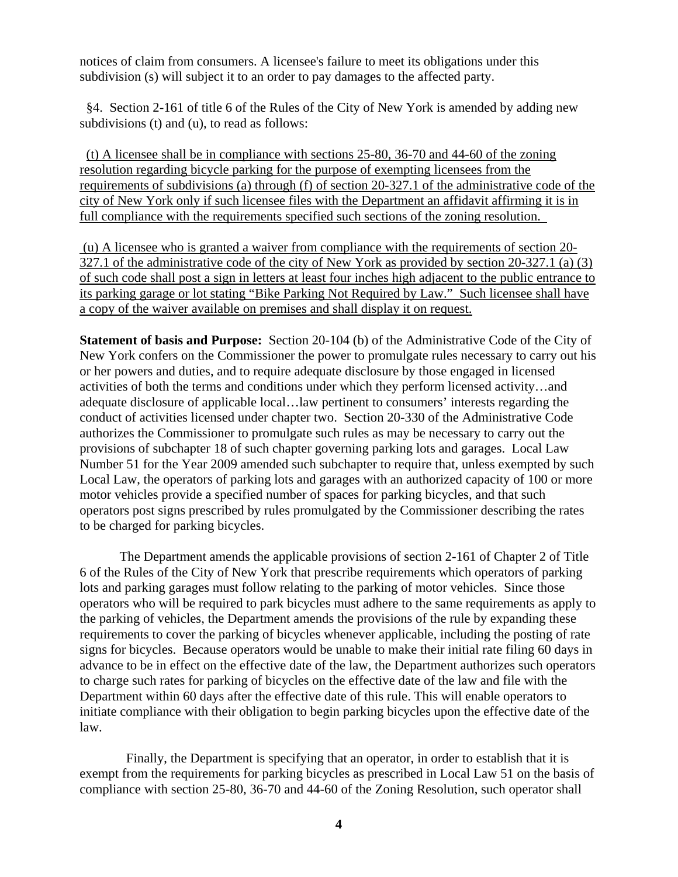notices of claim from consumers. A licensee's failure to meet its obligations under this subdivision (s) will subject it to an order to pay damages to the affected party.

 §4. Section 2-161 of title 6 of the Rules of the City of New York is amended by adding new subdivisions (t) and (u), to read as follows:

 (t) A licensee shall be in compliance with sections 25-80, 36-70 and 44-60 of the zoning resolution regarding bicycle parking for the purpose of exempting licensees from the requirements of subdivisions (a) through (f) of section 20-327.1 of the administrative code of the city of New York only if such licensee files with the Department an affidavit affirming it is in full compliance with the requirements specified such sections of the zoning resolution.

 (u) A licensee who is granted a waiver from compliance with the requirements of section 20- 327.1 of the administrative code of the city of New York as provided by section 20-327.1 (a) (3) of such code shall post a sign in letters at least four inches high adjacent to the public entrance to its parking garage or lot stating "Bike Parking Not Required by Law." Such licensee shall have a copy of the waiver available on premises and shall display it on request.

**Statement of basis and Purpose:** Section 20-104 (b) of the Administrative Code of the City of New York confers on the Commissioner the power to promulgate rules necessary to carry out his or her powers and duties, and to require adequate disclosure by those engaged in licensed activities of both the terms and conditions under which they perform licensed activity…and adequate disclosure of applicable local…law pertinent to consumers' interests regarding the conduct of activities licensed under chapter two. Section 20-330 of the Administrative Code authorizes the Commissioner to promulgate such rules as may be necessary to carry out the provisions of subchapter 18 of such chapter governing parking lots and garages. Local Law Number 51 for the Year 2009 amended such subchapter to require that, unless exempted by such Local Law, the operators of parking lots and garages with an authorized capacity of 100 or more motor vehicles provide a specified number of spaces for parking bicycles, and that such operators post signs prescribed by rules promulgated by the Commissioner describing the rates to be charged for parking bicycles.

 The Department amends the applicable provisions of section 2-161 of Chapter 2 of Title 6 of the Rules of the City of New York that prescribe requirements which operators of parking lots and parking garages must follow relating to the parking of motor vehicles. Since those operators who will be required to park bicycles must adhere to the same requirements as apply to the parking of vehicles, the Department amends the provisions of the rule by expanding these requirements to cover the parking of bicycles whenever applicable, including the posting of rate signs for bicycles. Because operators would be unable to make their initial rate filing 60 days in advance to be in effect on the effective date of the law, the Department authorizes such operators to charge such rates for parking of bicycles on the effective date of the law and file with the Department within 60 days after the effective date of this rule. This will enable operators to initiate compliance with their obligation to begin parking bicycles upon the effective date of the law.

 Finally, the Department is specifying that an operator, in order to establish that it is exempt from the requirements for parking bicycles as prescribed in Local Law 51 on the basis of compliance with section 25-80, 36-70 and 44-60 of the Zoning Resolution, such operator shall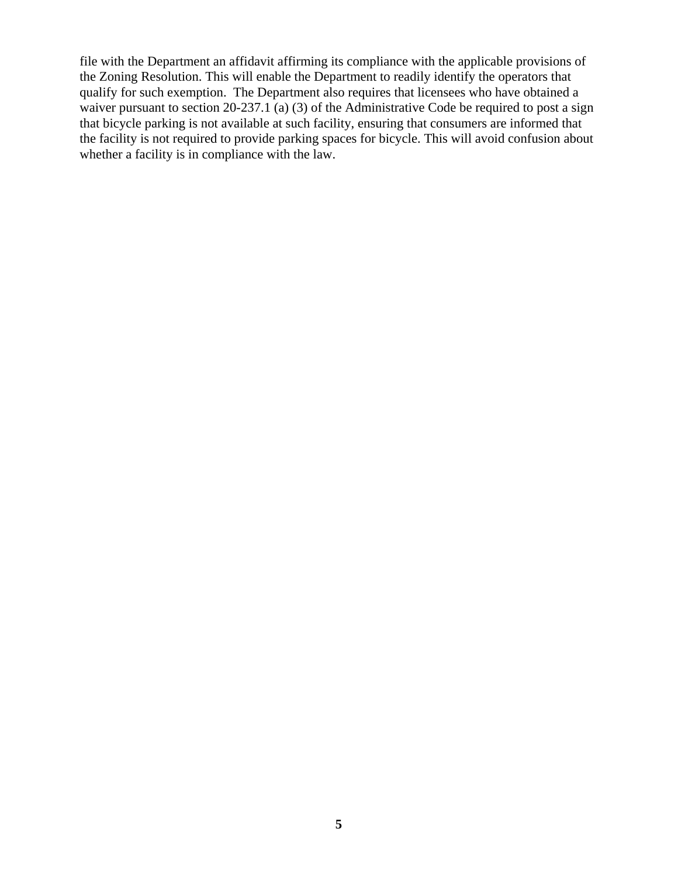file with the Department an affidavit affirming its compliance with the applicable provisions of the Zoning Resolution. This will enable the Department to readily identify the operators that qualify for such exemption. The Department also requires that licensees who have obtained a waiver pursuant to section 20-237.1 (a) (3) of the Administrative Code be required to post a sign that bicycle parking is not available at such facility, ensuring that consumers are informed that the facility is not required to provide parking spaces for bicycle. This will avoid confusion about whether a facility is in compliance with the law.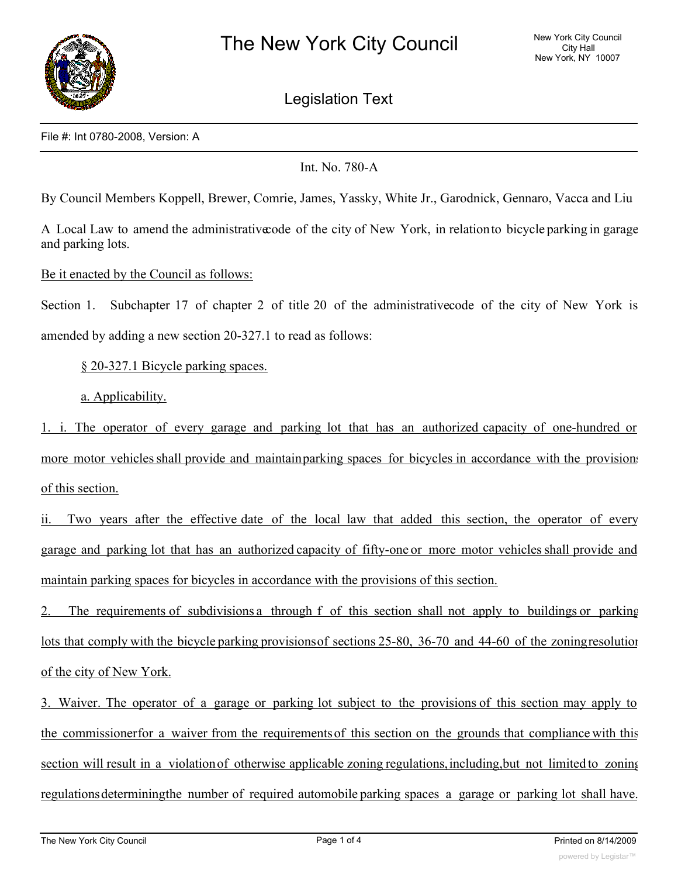

Legislation Text

File #: Int 0780-2008, Version: A

Int. No. 780-A

By Council Members Koppell, Brewer, Comrie, James, Yassky, White Jr., Garodnick, Gennaro, Vacca and Liu

A Local Law to amend the administrativecode of the city of New York, in relationto bicycle parking in garage and parking lots.

Be it enacted by the Council as follows:

Section 1. Subchapter 17 of chapter 2 of title 20 of the administrativecode of the city of New York is amended by adding a new section 20-327.1 to read as follows:

§ 20-327.1 Bicycle parking spaces.

a. Applicability.

1. i. The operator of every garage and parking lot that has an authorized capacity of one-hundred or more motor vehicles shall provide and maintainparking spaces for bicycles in accordance with the provisions of this section.

ii. Two years after the effective date of the local law that added this section, the operator of every garage and parking lot that has an authorized capacity of fifty-one or more motor vehicles shall provide and maintain parking spaces for bicycles in accordance with the provisions of this section.

2. The requirements of subdivisions a through f of this section shall not apply to buildings or parking lots that comply with the bicycle parking provisionsof sections 25-80, 36-70 and 44-60 of the zoningresolution of the city of New York.

3. Waiver. The operator of a garage or parking lot subject to the provisions of this section may apply to the commissionerfor a waiver from the requirementsof this section on the grounds that compliance with this section will result in a violationof otherwise applicable zoning regulations,including,but not limited to zoning regulationsdeterminingthe number of required automobile parking spaces a garage or parking lot shall have.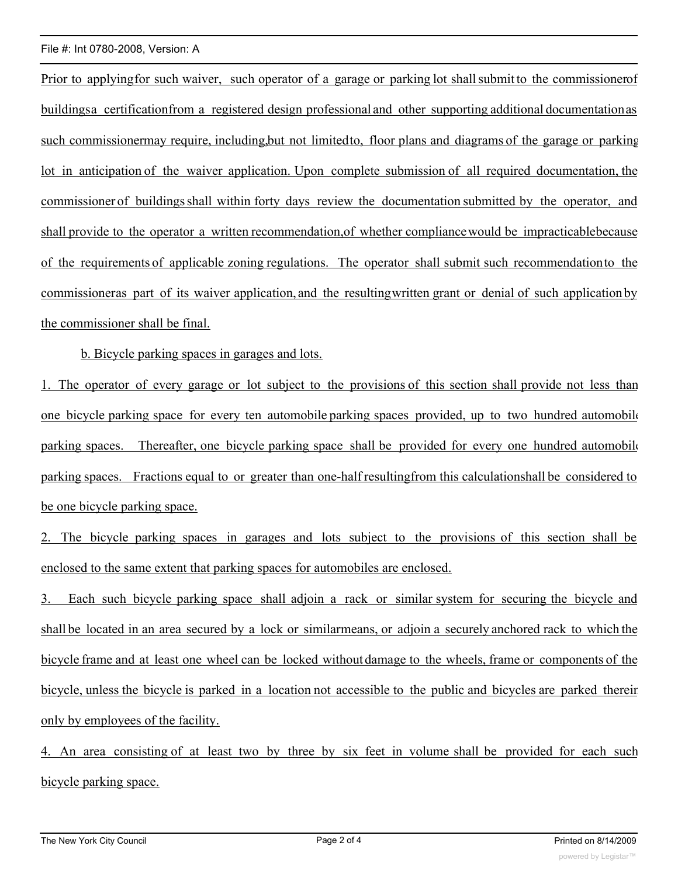#### File #: Int 0780-2008, Version: A

Prior to applying for such waiver, such operator of a garage or parking lot shall submit to the commissionerof buildingsa certificationfrom a registered design professional and other supporting additional documentationas such commissionermay require, including,but not limitedto, floor plans and diagrams of the garage or parking lot in anticipation of the waiver application. Upon complete submission of all required documentation, the commissioner of buildingsshall within forty days review the documentation submitted by the operator, and shall provide to the operator a written recommendation,of whether compliancewould be impracticablebecause of the requirements of applicable zoning regulations. The operator shall submit such recommendationto the commissioneras part of its waiver application, and the resultingwritten grant or denial of such application by the commissioner shall be final.

b. Bicycle parking spaces in garages and lots.

1. The operator of every garage or lot subject to the provisions of this section shall provide not less than one bicycle parking space for every ten automobile parking spaces provided, up to two hundred automobile parking spaces. Thereafter, one bicycle parking space shall be provided for every one hundred automobile parking spaces. Fractions equal to or greater than one-half resultingfrom this calculationshall be considered to be one bicycle parking space.

2. The bicycle parking spaces in garages and lots subject to the provisions of this section shall be enclosed to the same extent that parking spaces for automobiles are enclosed.

3. Each such bicycle parking space shall adjoin a rack or similar system for securing the bicycle and shall be located in an area secured by a lock or similarmeans, or adjoin a securely anchored rack to which the bicycle frame and at least one wheel can be locked without damage to the wheels, frame or components of the bicycle, unless the bicycle is parked in a location not accessible to the public and bicycles are parked therein only by employees of the facility.

4. An area consisting of at least two by three by six feet in volume shall be provided for each such bicycle parking space.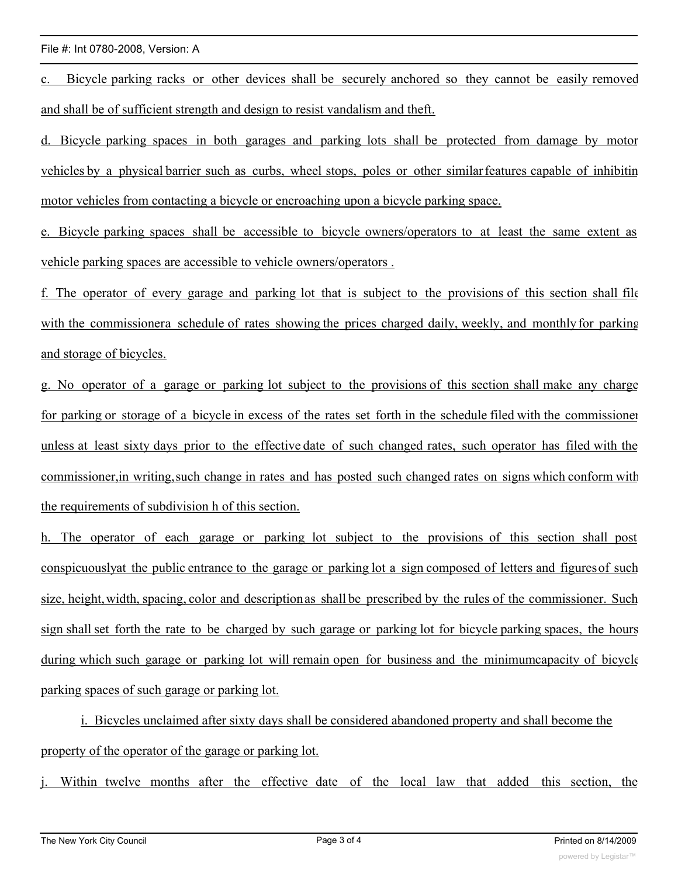#### File #: Int 0780-2008, Version: A

c. Bicycle parking racks or other devices shall be securely anchored so they cannot be easily removed and shall be of sufficient strength and design to resist vandalism and theft.

d. Bicycle parking spaces in both garages and parking lots shall be protected from damage by motor vehicles by a physical barrier such as curbs, wheel stops, poles or other similar features capable of inhibitin motor vehicles from contacting a bicycle or encroaching upon a bicycle parking space.

e. Bicycle parking spaces shall be accessible to bicycle owners/operators to at least the same extent as vehicle parking spaces are accessible to vehicle owners/operators .

f. The operator of every garage and parking lot that is subject to the provisions of this section shall file with the commissionera schedule of rates showing the prices charged daily, weekly, and monthly for parking and storage of bicycles.

g. No operator of a garage or parking lot subject to the provisions of this section shall make any charge for parking or storage of a bicycle in excess of the rates set forth in the schedule filed with the commissioner unless at least sixty days prior to the effective date of such changed rates, such operator has filed with the commissioner,in writing,such change in rates and has posted such changed rates on signs which conform with the requirements of subdivision h of this section.

h. The operator of each garage or parking lot subject to the provisions of this section shall post conspicuouslyat the public entrance to the garage or parking lot a sign composed of letters and figuresof such size, height,width, spacing, color and descriptionas shall be prescribed by the rules of the commissioner. Such sign shall set forth the rate to be charged by such garage or parking lot for bicycle parking spaces, the hours during which such garage or parking lot will remain open for business and the minimumcapacity of bicycle parking spaces of such garage or parking lot.

i. Bicycles unclaimed after sixty days shall be considered abandoned property and shall become the property of the operator of the garage or parking lot.

Within twelve months after the effective date of the local law that added this section, the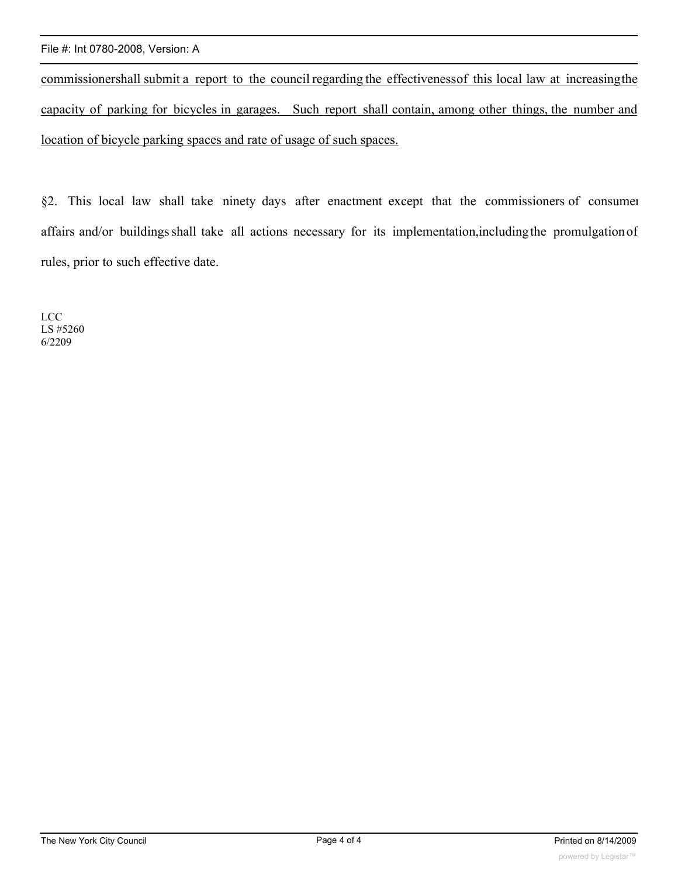#### File #: Int 0780-2008, Version: A

commissionershall submit a report to the council regarding the effectivenessof this local law at increasingthe capacity of parking for bicycles in garages. Such report shall contain, among other things, the number and location of bicycle parking spaces and rate of usage of such spaces.

§2. This local law shall take ninety days after enactment except that the commissioners of consumer affairs and/or buildingsshall take all actions necessary for its implementation,includingthe promulgationof rules, prior to such effective date.

LCC LS #5260 6/2209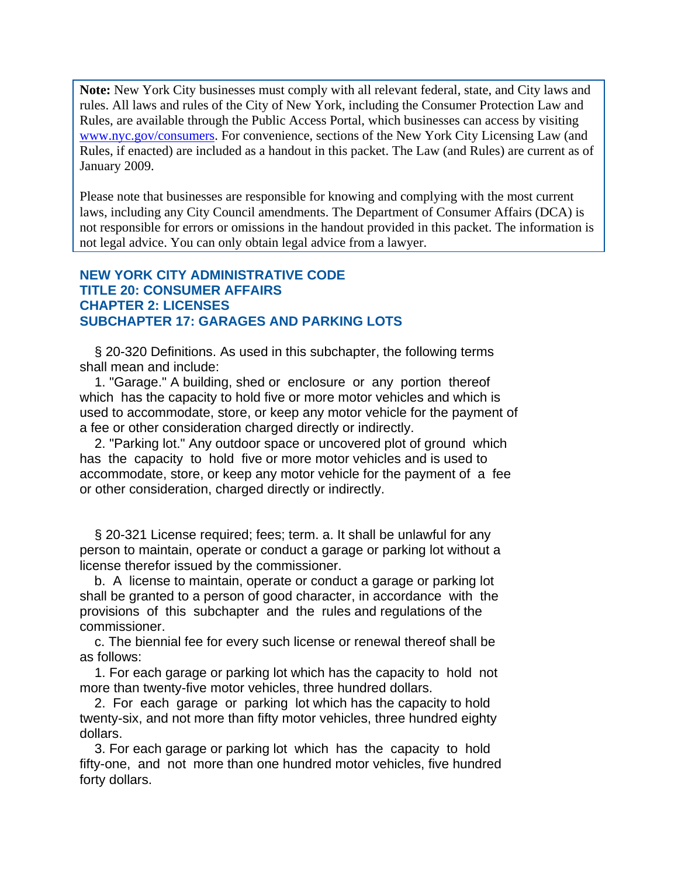**Note:** New York City businesses must comply with all relevant federal, state, and City laws and rules. All laws and rules of the City of New York, including the Consumer Protection Law and Rules, are available through the Public Access Portal, which businesses can access by visiting www.nyc.gov/consumers. For convenience, sections of the New York City Licensing Law (and Rules, if enacted) are included as a handout in this packet. The Law (and Rules) are current as of January 2009.

Please note that businesses are responsible for knowing and complying with the most current laws, including any City Council amendments. The Department of Consumer Affairs (DCA) is not responsible for errors or omissions in the handout provided in this packet. The information is not legal advice. You can only obtain legal advice from a lawyer.

## **NEW YORK CITY ADMINISTRATIVE CODE TITLE 20: CONSUMER AFFAIRS CHAPTER 2: LICENSES SUBCHAPTER 17: GARAGES AND PARKING LOTS**

 § 20-320 Definitions. As used in this subchapter, the following terms shall mean and include:

 1. "Garage." A building, shed or enclosure or any portion thereof which has the capacity to hold five or more motor vehicles and which is used to accommodate, store, or keep any motor vehicle for the payment of a fee or other consideration charged directly or indirectly.

 2. "Parking lot." Any outdoor space or uncovered plot of ground which has the capacity to hold five or more motor vehicles and is used to accommodate, store, or keep any motor vehicle for the payment of a fee or other consideration, charged directly or indirectly.

 § 20-321 License required; fees; term. a. It shall be unlawful for any person to maintain, operate or conduct a garage or parking lot without a license therefor issued by the commissioner.

 b. A license to maintain, operate or conduct a garage or parking lot shall be granted to a person of good character, in accordance with the provisions of this subchapter and the rules and regulations of the commissioner.

 c. The biennial fee for every such license or renewal thereof shall be as follows:

 1. For each garage or parking lot which has the capacity to hold not more than twenty-five motor vehicles, three hundred dollars.

 2. For each garage or parking lot which has the capacity to hold twenty-six, and not more than fifty motor vehicles, three hundred eighty dollars.

 3. For each garage or parking lot which has the capacity to hold fifty-one, and not more than one hundred motor vehicles, five hundred forty dollars.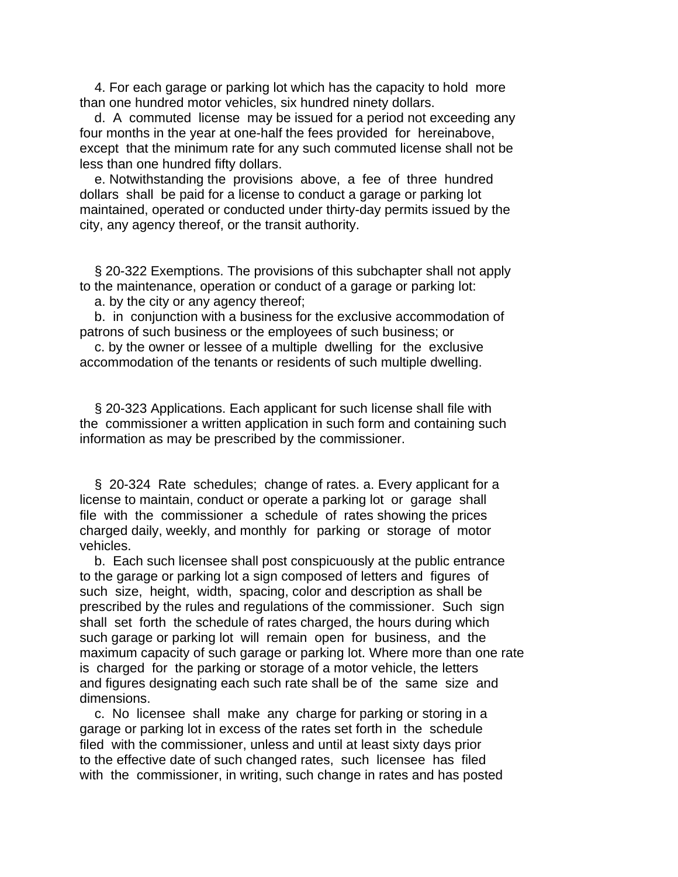4. For each garage or parking lot which has the capacity to hold more than one hundred motor vehicles, six hundred ninety dollars.

 d. A commuted license may be issued for a period not exceeding any four months in the year at one-half the fees provided for hereinabove, except that the minimum rate for any such commuted license shall not be less than one hundred fifty dollars.

 e. Notwithstanding the provisions above, a fee of three hundred dollars shall be paid for a license to conduct a garage or parking lot maintained, operated or conducted under thirty-day permits issued by the city, any agency thereof, or the transit authority.

 § 20-322 Exemptions. The provisions of this subchapter shall not apply to the maintenance, operation or conduct of a garage or parking lot:

a. by the city or any agency thereof;

 b. in conjunction with a business for the exclusive accommodation of patrons of such business or the employees of such business; or

 c. by the owner or lessee of a multiple dwelling for the exclusive accommodation of the tenants or residents of such multiple dwelling.

 § 20-323 Applications. Each applicant for such license shall file with the commissioner a written application in such form and containing such information as may be prescribed by the commissioner.

 § 20-324 Rate schedules; change of rates. a. Every applicant for a license to maintain, conduct or operate a parking lot or garage shall file with the commissioner a schedule of rates showing the prices charged daily, weekly, and monthly for parking or storage of motor vehicles.

 b. Each such licensee shall post conspicuously at the public entrance to the garage or parking lot a sign composed of letters and figures of such size, height, width, spacing, color and description as shall be prescribed by the rules and regulations of the commissioner. Such sign shall set forth the schedule of rates charged, the hours during which such garage or parking lot will remain open for business, and the maximum capacity of such garage or parking lot. Where more than one rate is charged for the parking or storage of a motor vehicle, the letters and figures designating each such rate shall be of the same size and dimensions.

 c. No licensee shall make any charge for parking or storing in a garage or parking lot in excess of the rates set forth in the schedule filed with the commissioner, unless and until at least sixty days prior to the effective date of such changed rates, such licensee has filed with the commissioner, in writing, such change in rates and has posted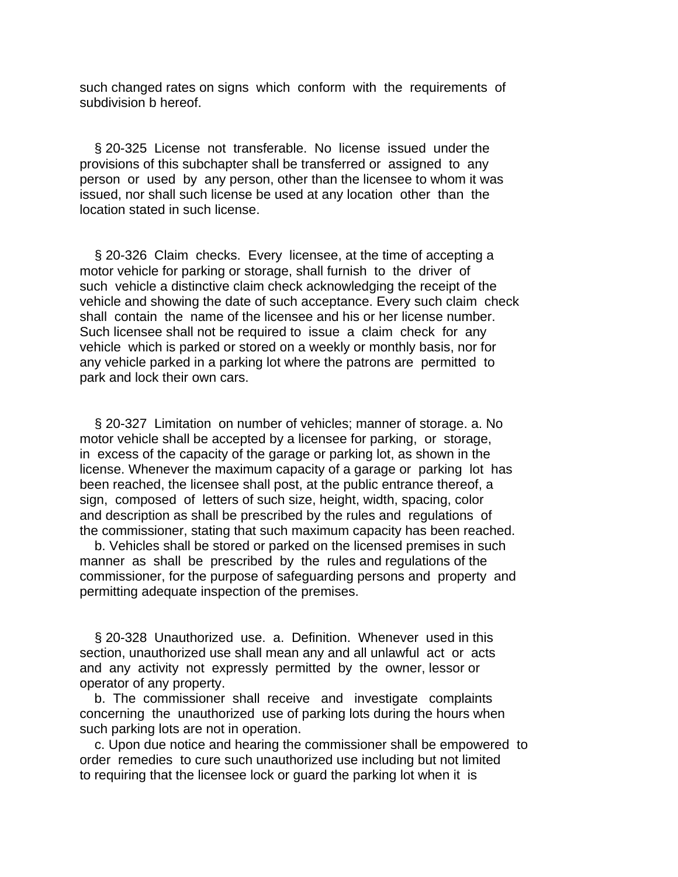such changed rates on signs which conform with the requirements of subdivision b hereof.

 § 20-325 License not transferable. No license issued under the provisions of this subchapter shall be transferred or assigned to any person or used by any person, other than the licensee to whom it was issued, nor shall such license be used at any location other than the location stated in such license.

 § 20-326 Claim checks. Every licensee, at the time of accepting a motor vehicle for parking or storage, shall furnish to the driver of such vehicle a distinctive claim check acknowledging the receipt of the vehicle and showing the date of such acceptance. Every such claim check shall contain the name of the licensee and his or her license number. Such licensee shall not be required to issue a claim check for any vehicle which is parked or stored on a weekly or monthly basis, nor for any vehicle parked in a parking lot where the patrons are permitted to park and lock their own cars.

 § 20-327 Limitation on number of vehicles; manner of storage. a. No motor vehicle shall be accepted by a licensee for parking, or storage, in excess of the capacity of the garage or parking lot, as shown in the license. Whenever the maximum capacity of a garage or parking lot has been reached, the licensee shall post, at the public entrance thereof, a sign, composed of letters of such size, height, width, spacing, color and description as shall be prescribed by the rules and regulations of the commissioner, stating that such maximum capacity has been reached.

 b. Vehicles shall be stored or parked on the licensed premises in such manner as shall be prescribed by the rules and regulations of the commissioner, for the purpose of safeguarding persons and property and permitting adequate inspection of the premises.

§ 20-328 Unauthorized use. a. Definition. Whenever used in this section, unauthorized use shall mean any and all unlawful act or acts and any activity not expressly permitted by the owner, lessor or operator of any property.

 b. The commissioner shall receive and investigate complaints concerning the unauthorized use of parking lots during the hours when such parking lots are not in operation.

 c. Upon due notice and hearing the commissioner shall be empowered to order remedies to cure such unauthorized use including but not limited to requiring that the licensee lock or guard the parking lot when it is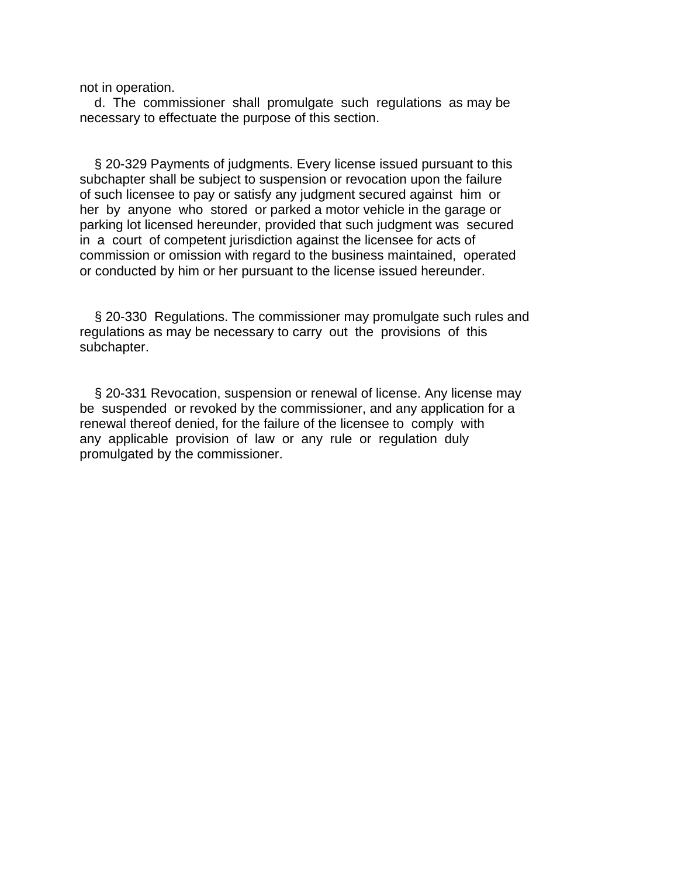not in operation.

 d. The commissioner shall promulgate such regulations as may be necessary to effectuate the purpose of this section.

 § 20-329 Payments of judgments. Every license issued pursuant to this subchapter shall be subject to suspension or revocation upon the failure of such licensee to pay or satisfy any judgment secured against him or her by anyone who stored or parked a motor vehicle in the garage or parking lot licensed hereunder, provided that such judgment was secured in a court of competent jurisdiction against the licensee for acts of commission or omission with regard to the business maintained, operated or conducted by him or her pursuant to the license issued hereunder.

 § 20-330 Regulations. The commissioner may promulgate such rules and regulations as may be necessary to carry out the provisions of this subchapter.

 § 20-331 Revocation, suspension or renewal of license. Any license may be suspended or revoked by the commissioner, and any application for a renewal thereof denied, for the failure of the licensee to comply with any applicable provision of law or any rule or regulation duly promulgated by the commissioner.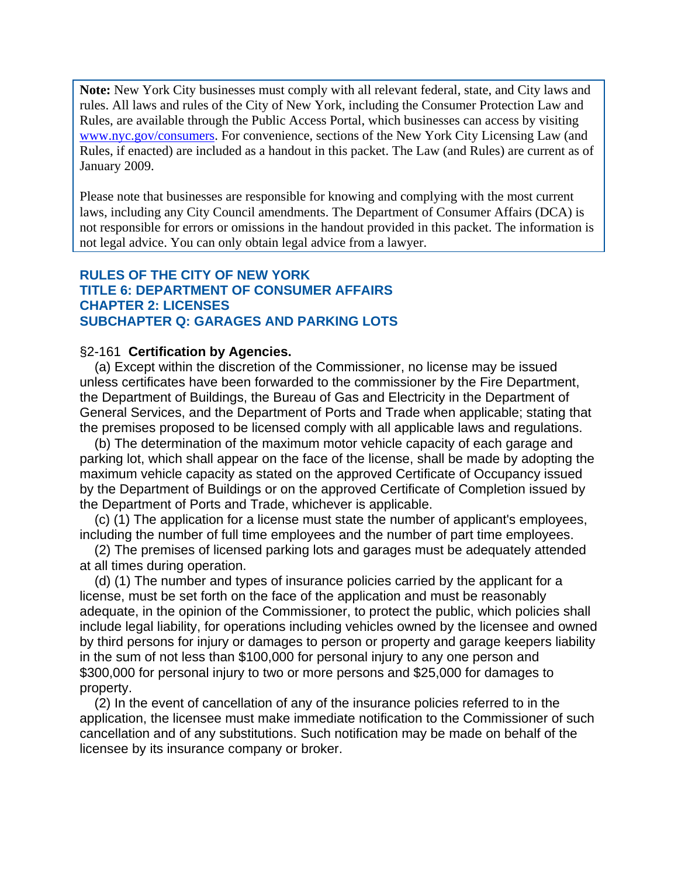**Note:** New York City businesses must comply with all relevant federal, state, and City laws and rules. All laws and rules of the City of New York, including the Consumer Protection Law and Rules, are available through the Public Access Portal, which businesses can access by visiting www.nyc.gov/consumers. For convenience, sections of the New York City Licensing Law (and Rules, if enacted) are included as a handout in this packet. The Law (and Rules) are current as of January 2009.

Please note that businesses are responsible for knowing and complying with the most current laws, including any City Council amendments. The Department of Consumer Affairs (DCA) is not responsible for errors or omissions in the handout provided in this packet. The information is not legal advice. You can only obtain legal advice from a lawyer.

### **RULES OF THE CITY OF NEW YORK TITLE 6: DEPARTMENT OF CONSUMER AFFAIRS CHAPTER 2: LICENSES SUBCHAPTER Q: GARAGES AND PARKING LOTS**

#### §2-161 **Certification by Agencies.**

 (a) Except within the discretion of the Commissioner, no license may be issued unless certificates have been forwarded to the commissioner by the Fire Department, the Department of Buildings, the Bureau of Gas and Electricity in the Department of General Services, and the Department of Ports and Trade when applicable; stating that the premises proposed to be licensed comply with all applicable laws and regulations.

 (b) The determination of the maximum motor vehicle capacity of each garage and parking lot, which shall appear on the face of the license, shall be made by adopting the maximum vehicle capacity as stated on the approved Certificate of Occupancy issued by the Department of Buildings or on the approved Certificate of Completion issued by the Department of Ports and Trade, whichever is applicable.

 (c) (1) The application for a license must state the number of applicant's employees, including the number of full time employees and the number of part time employees.

 (2) The premises of licensed parking lots and garages must be adequately attended at all times during operation.

 (d) (1) The number and types of insurance policies carried by the applicant for a license, must be set forth on the face of the application and must be reasonably adequate, in the opinion of the Commissioner, to protect the public, which policies shall include legal liability, for operations including vehicles owned by the licensee and owned by third persons for injury or damages to person or property and garage keepers liability in the sum of not less than \$100,000 for personal injury to any one person and \$300,000 for personal injury to two or more persons and \$25,000 for damages to property.

 (2) In the event of cancellation of any of the insurance policies referred to in the application, the licensee must make immediate notification to the Commissioner of such cancellation and of any substitutions. Such notification may be made on behalf of the licensee by its insurance company or broker.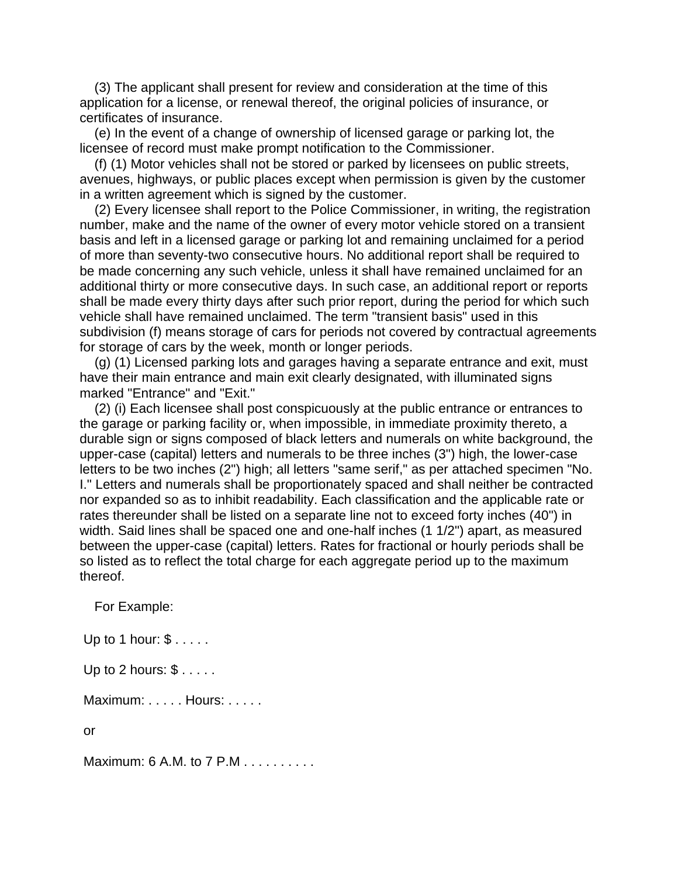(3) The applicant shall present for review and consideration at the time of this application for a license, or renewal thereof, the original policies of insurance, or certificates of insurance.

 (e) In the event of a change of ownership of licensed garage or parking lot, the licensee of record must make prompt notification to the Commissioner.

 (f) (1) Motor vehicles shall not be stored or parked by licensees on public streets, avenues, highways, or public places except when permission is given by the customer in a written agreement which is signed by the customer.

 (2) Every licensee shall report to the Police Commissioner, in writing, the registration number, make and the name of the owner of every motor vehicle stored on a transient basis and left in a licensed garage or parking lot and remaining unclaimed for a period of more than seventy-two consecutive hours. No additional report shall be required to be made concerning any such vehicle, unless it shall have remained unclaimed for an additional thirty or more consecutive days. In such case, an additional report or reports shall be made every thirty days after such prior report, during the period for which such vehicle shall have remained unclaimed. The term "transient basis" used in this subdivision (f) means storage of cars for periods not covered by contractual agreements for storage of cars by the week, month or longer periods.

 (g) (1) Licensed parking lots and garages having a separate entrance and exit, must have their main entrance and main exit clearly designated, with illuminated signs marked "Entrance" and "Exit."

 (2) (i) Each licensee shall post conspicuously at the public entrance or entrances to the garage or parking facility or, when impossible, in immediate proximity thereto, a durable sign or signs composed of black letters and numerals on white background, the upper-case (capital) letters and numerals to be three inches (3") high, the lower-case letters to be two inches (2") high; all letters "same serif," as per attached specimen "No. I." Letters and numerals shall be proportionately spaced and shall neither be contracted nor expanded so as to inhibit readability. Each classification and the applicable rate or rates thereunder shall be listed on a separate line not to exceed forty inches (40") in width. Said lines shall be spaced one and one-half inches (1 1/2") apart, as measured between the upper-case (capital) letters. Rates for fractional or hourly periods shall be so listed as to reflect the total charge for each aggregate period up to the maximum thereof.

For Example:

Up to 1 hour: \$ . . . . .

Up to 2 hours: \$ . . . . .

Maximum: . . . . . Hours: . . . . .

or

Maximum: 6 A.M. to 7 P.M . . . . . . . . . .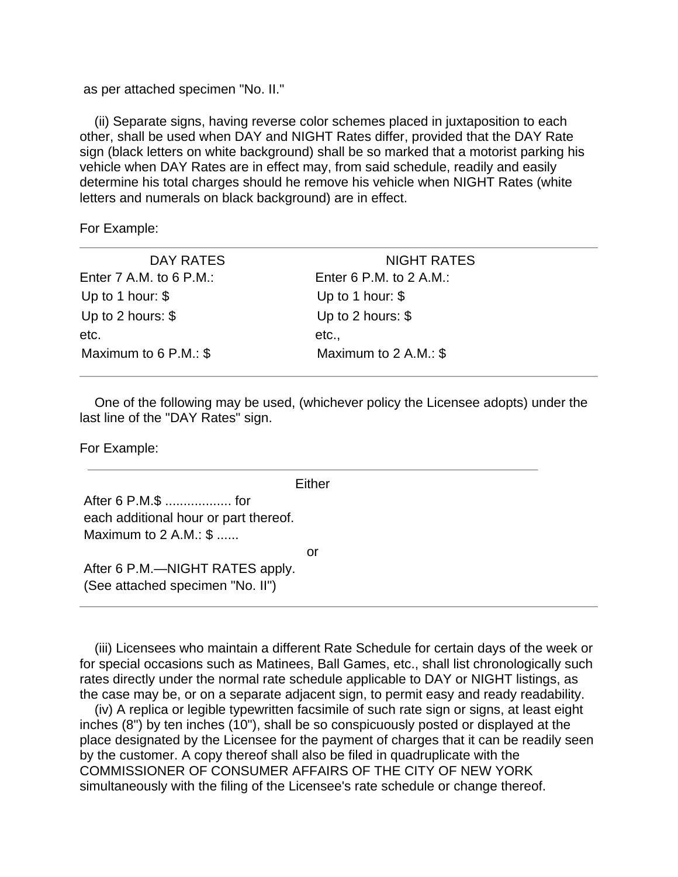as per attached specimen "No. II."

 (ii) Separate signs, having reverse color schemes placed in juxtaposition to each other, shall be used when DAY and NIGHT Rates differ, provided that the DAY Rate sign (black letters on white background) shall be so marked that a motorist parking his vehicle when DAY Rates are in effect may, from said schedule, readily and easily determine his total charges should he remove his vehicle when NIGHT Rates (white letters and numerals on black background) are in effect.

For Example:

| DAY RATES                 | <b>NIGHT RATES</b>        |  |
|---------------------------|---------------------------|--|
| Enter $7$ A.M. to 6 P.M.: | Enter 6 P.M. to $2$ A.M.: |  |
| Up to 1 hour: $$$         | Up to 1 hour: $$$         |  |
| Up to 2 hours: $$$        | Up to 2 hours: $$$        |  |
| etc.                      | etc.,                     |  |
| Maximum to $6$ P.M.: $$$  | Maximum to $2$ A.M.: \$   |  |
|                           |                           |  |

 One of the following may be used, (whichever policy the Licensee adopts) under the last line of the "DAY Rates" sign.

For Example:

**Fither** 

 After 6 P.M.\$ .................. for each additional hour or part thereof. Maximum to 2 A.M.: \$ ......

**or** and the contract of the contract of the contract of the contract of the contract of the contract of the contract of the contract of the contract of the contract of the contract of the contract of the contract of the c

 After 6 P.M.—NIGHT RATES apply. (See attached specimen "No. II")

 (iii) Licensees who maintain a different Rate Schedule for certain days of the week or for special occasions such as Matinees, Ball Games, etc., shall list chronologically such rates directly under the normal rate schedule applicable to DAY or NIGHT listings, as the case may be, or on a separate adjacent sign, to permit easy and ready readability.

 (iv) A replica or legible typewritten facsimile of such rate sign or signs, at least eight inches (8") by ten inches (10"), shall be so conspicuously posted or displayed at the place designated by the Licensee for the payment of charges that it can be readily seen by the customer. A copy thereof shall also be filed in quadruplicate with the COMMISSIONER OF CONSUMER AFFAIRS OF THE CITY OF NEW YORK simultaneously with the filing of the Licensee's rate schedule or change thereof.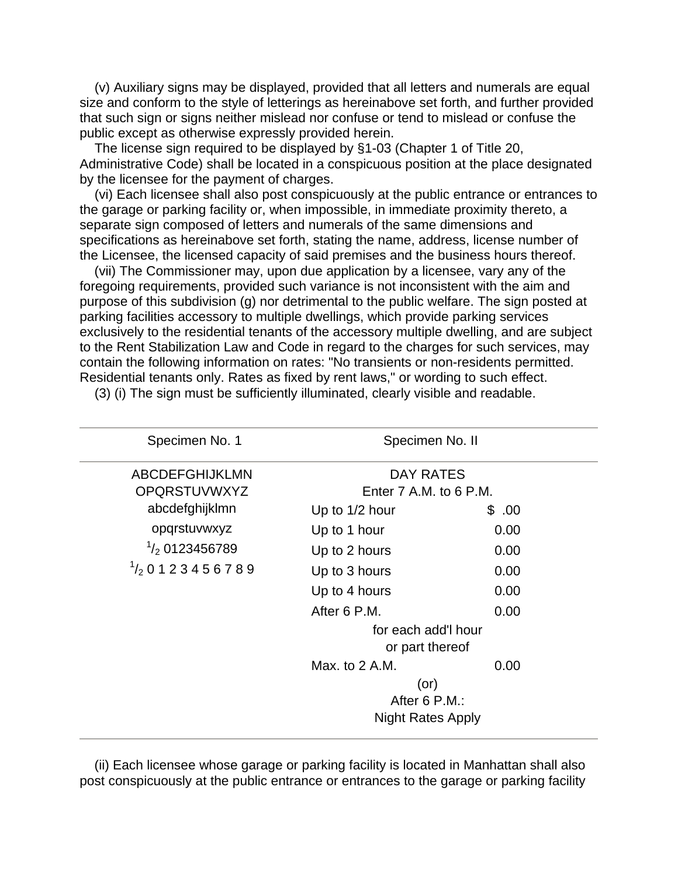(v) Auxiliary signs may be displayed, provided that all letters and numerals are equal size and conform to the style of letterings as hereinabove set forth, and further provided that such sign or signs neither mislead nor confuse or tend to mislead or confuse the public except as otherwise expressly provided herein.

 The license sign required to be displayed by §1-03 (Chapter 1 of Title 20, Administrative Code) shall be located in a conspicuous position at the place designated by the licensee for the payment of charges.

 (vi) Each licensee shall also post conspicuously at the public entrance or entrances to the garage or parking facility or, when impossible, in immediate proximity thereto, a separate sign composed of letters and numerals of the same dimensions and specifications as hereinabove set forth, stating the name, address, license number of the Licensee, the licensed capacity of said premises and the business hours thereof.

 (vii) The Commissioner may, upon due application by a licensee, vary any of the foregoing requirements, provided such variance is not inconsistent with the aim and purpose of this subdivision (g) nor detrimental to the public welfare. The sign posted at parking facilities accessory to multiple dwellings, which provide parking services exclusively to the residential tenants of the accessory multiple dwelling, and are subject to the Rent Stabilization Law and Code in regard to the charges for such services, may contain the following information on rates: "No transients or non-residents permitted. Residential tenants only. Rates as fixed by rent laws," or wording to such effect.

| Specimen No. 1                    | Specimen No. II<br><b>DAY RATES</b> |       |  |
|-----------------------------------|-------------------------------------|-------|--|
| <b>ABCDEFGHIJKLMN</b>             |                                     |       |  |
| <b>OPQRSTUVWXYZ</b>               | Enter 7 A.M. to 6 P.M.              |       |  |
| abcdefghijklmn                    | Up to 1/2 hour                      | \$.00 |  |
| opqrstuvwxyz                      | Up to 1 hour                        | 0.00  |  |
| $\frac{1}{2}$ 0123456789          | Up to 2 hours                       | 0.00  |  |
| $\frac{1}{2}$ 0 1 2 3 4 5 6 7 8 9 | Up to 3 hours                       | 0.00  |  |
|                                   | Up to 4 hours                       | 0.00  |  |
|                                   | After 6 P.M.                        | 0.00  |  |
|                                   | for each add'l hour                 |       |  |
|                                   | or part thereof                     |       |  |
|                                   | Max. to 2 A.M.                      | 0.00  |  |
|                                   | (or)                                |       |  |
|                                   | After 6 P.M.:                       |       |  |
|                                   | <b>Night Rates Apply</b>            |       |  |

(3) (i) The sign must be sufficiently illuminated, clearly visible and readable.

 (ii) Each licensee whose garage or parking facility is located in Manhattan shall also post conspicuously at the public entrance or entrances to the garage or parking facility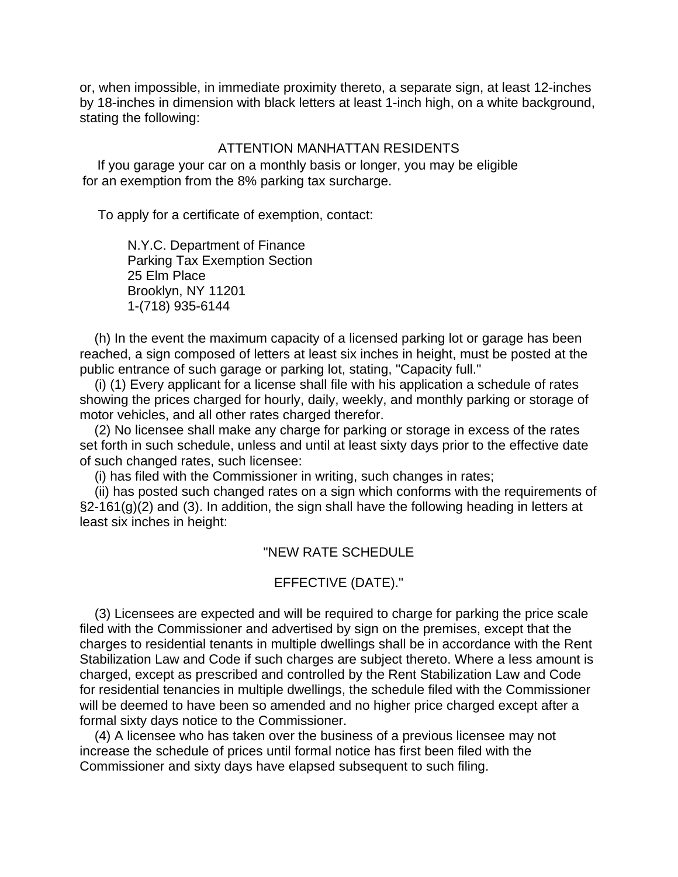or, when impossible, in immediate proximity thereto, a separate sign, at least 12-inches by 18-inches in dimension with black letters at least 1-inch high, on a white background, stating the following:

#### ATTENTION MANHATTAN RESIDENTS

 If you garage your car on a monthly basis or longer, you may be eligible for an exemption from the 8% parking tax surcharge.

To apply for a certificate of exemption, contact:

 N.Y.C. Department of Finance Parking Tax Exemption Section 25 Elm Place Brooklyn, NY 11201 1-(718) 935-6144

 (h) In the event the maximum capacity of a licensed parking lot or garage has been reached, a sign composed of letters at least six inches in height, must be posted at the public entrance of such garage or parking lot, stating, "Capacity full."

 (i) (1) Every applicant for a license shall file with his application a schedule of rates showing the prices charged for hourly, daily, weekly, and monthly parking or storage of motor vehicles, and all other rates charged therefor.

 (2) No licensee shall make any charge for parking or storage in excess of the rates set forth in such schedule, unless and until at least sixty days prior to the effective date of such changed rates, such licensee:

(i) has filed with the Commissioner in writing, such changes in rates;

 (ii) has posted such changed rates on a sign which conforms with the requirements of  $\S2-161(g)(2)$  and (3). In addition, the sign shall have the following heading in letters at least six inches in height:

#### "NEW RATE SCHEDULE

## EFFECTIVE (DATE)."

 (3) Licensees are expected and will be required to charge for parking the price scale filed with the Commissioner and advertised by sign on the premises, except that the charges to residential tenants in multiple dwellings shall be in accordance with the Rent Stabilization Law and Code if such charges are subject thereto. Where a less amount is charged, except as prescribed and controlled by the Rent Stabilization Law and Code for residential tenancies in multiple dwellings, the schedule filed with the Commissioner will be deemed to have been so amended and no higher price charged except after a formal sixty days notice to the Commissioner.

 (4) A licensee who has taken over the business of a previous licensee may not increase the schedule of prices until formal notice has first been filed with the Commissioner and sixty days have elapsed subsequent to such filing.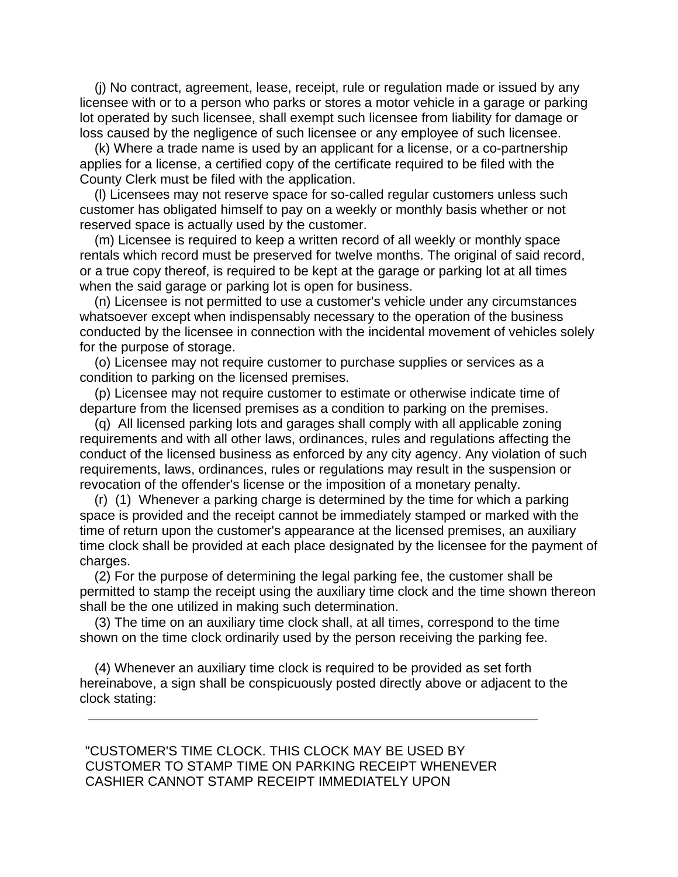(j) No contract, agreement, lease, receipt, rule or regulation made or issued by any licensee with or to a person who parks or stores a motor vehicle in a garage or parking lot operated by such licensee, shall exempt such licensee from liability for damage or loss caused by the negligence of such licensee or any employee of such licensee.

 (k) Where a trade name is used by an applicant for a license, or a co-partnership applies for a license, a certified copy of the certificate required to be filed with the County Clerk must be filed with the application.

 (l) Licensees may not reserve space for so-called regular customers unless such customer has obligated himself to pay on a weekly or monthly basis whether or not reserved space is actually used by the customer.

 (m) Licensee is required to keep a written record of all weekly or monthly space rentals which record must be preserved for twelve months. The original of said record, or a true copy thereof, is required to be kept at the garage or parking lot at all times when the said garage or parking lot is open for business.

 (n) Licensee is not permitted to use a customer's vehicle under any circumstances whatsoever except when indispensably necessary to the operation of the business conducted by the licensee in connection with the incidental movement of vehicles solely for the purpose of storage.

 (o) Licensee may not require customer to purchase supplies or services as a condition to parking on the licensed premises.

 (p) Licensee may not require customer to estimate or otherwise indicate time of departure from the licensed premises as a condition to parking on the premises.

 (q) All licensed parking lots and garages shall comply with all applicable zoning requirements and with all other laws, ordinances, rules and regulations affecting the conduct of the licensed business as enforced by any city agency. Any violation of such requirements, laws, ordinances, rules or regulations may result in the suspension or revocation of the offender's license or the imposition of a monetary penalty.

 (r) (1) Whenever a parking charge is determined by the time for which a parking space is provided and the receipt cannot be immediately stamped or marked with the time of return upon the customer's appearance at the licensed premises, an auxiliary time clock shall be provided at each place designated by the licensee for the payment of charges.

 (2) For the purpose of determining the legal parking fee, the customer shall be permitted to stamp the receipt using the auxiliary time clock and the time shown thereon shall be the one utilized in making such determination.

 (3) The time on an auxiliary time clock shall, at all times, correspond to the time shown on the time clock ordinarily used by the person receiving the parking fee.

 (4) Whenever an auxiliary time clock is required to be provided as set forth hereinabove, a sign shall be conspicuously posted directly above or adjacent to the clock stating:

 "CUSTOMER'S TIME CLOCK. THIS CLOCK MAY BE USED BY CUSTOMER TO STAMP TIME ON PARKING RECEIPT WHENEVER CASHIER CANNOT STAMP RECEIPT IMMEDIATELY UPON